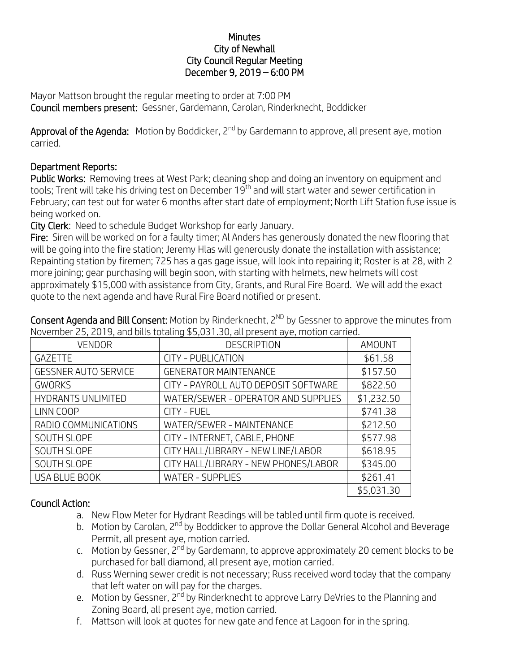## **Minutes** City of Newhall City Council Regular Meeting December 9, 2019 – 6:00 PM

Mayor Mattson brought the regular meeting to order at 7:00 PM Council members present: Gessner, Gardemann, Carolan, Rinderknecht, Boddicker

**Approval of the Agenda:** Motion by Boddicker, 2<sup>nd</sup> by Gardemann to approve, all present aye, motion carried.

## Department Reports:

Public Works: Removing trees at West Park; cleaning shop and doing an inventory on equipment and tools; Trent will take his driving test on December 19<sup>th</sup> and will start water and sewer certification in February; can test out for water 6 months after start date of employment; North Lift Station fuse issue is being worked on.

City Clerk: Need to schedule Budget Workshop for early January.

Fire: Siren will be worked on for a faulty timer; Al Anders has generously donated the new flooring that will be going into the fire station; Jeremy Hlas will generously donate the installation with assistance; Repainting station by firemen; 725 has a gas gage issue, will look into repairing it; Roster is at 28, with 2 more joining; gear purchasing will begin soon, with starting with helmets, new helmets will cost approximately \$15,000 with assistance from City, Grants, and Rural Fire Board. We will add the exact quote to the next agenda and have Rural Fire Board notified or present.

| <b>VENDOR</b>               | <b>DESCRIPTION</b>                   | AMOUNT     |
|-----------------------------|--------------------------------------|------------|
| <b>GAZETTE</b>              | <b>CITY - PUBLICATION</b>            | \$61.58    |
| <b>GESSNER AUTO SERVICE</b> | <b>GENERATOR MAINTENANCE</b>         | \$157.50   |
| <b>GWORKS</b>               | CITY - PAYROLL AUTO DEPOSIT SOFTWARE | \$822.50   |
| <b>HYDRANTS UNLIMITED</b>   | WATER/SEWER - OPERATOR AND SUPPLIES  | \$1,232.50 |
| LINN COOP                   | CITY - FUEL                          | \$741.38   |
| RADIO COMMUNICATIONS        | WATER/SEWER - MAINTENANCE            | \$212.50   |
| SOUTH SLOPE                 | CITY - INTERNET, CABLE, PHONE        | \$577.98   |
| <b>SOUTH SLOPE</b>          | CITY HALL/LIBRARY - NEW LINE/LABOR   | \$618.95   |
| SOUTH SLOPE                 | CITY HALL/LIBRARY - NEW PHONES/LABOR | \$345.00   |
| USA BLUE BOOK               | <b>WATER - SUPPLIES</b>              | \$261.41   |
|                             |                                      | \$5,031.30 |

Consent Agenda and Bill Consent: Motion by Rinderknecht, 2<sup>ND</sup> by Gessner to approve the minutes from November 25, 2019, and bills totaling \$5,031.30, all present aye, motion carried.

## Council Action:

- a. New Flow Meter for Hydrant Readings will be tabled until firm quote is received.
- b. Motion by Carolan, 2<sup>nd</sup> by Boddicker to approve the Dollar General Alcohol and Beverage Permit, all present aye, motion carried.
- c. Motion by Gessner, 2<sup>nd</sup> by Gardemann, to approve approximately 20 cement blocks to be purchased for ball diamond, all present aye, motion carried.
- d. Russ Werning sewer credit is not necessary; Russ received word today that the company that left water on will pay for the charges.
- e. Motion by Gessner, 2<sup>nd</sup> by Rinderknecht to approve Larry DeVries to the Planning and Zoning Board, all present aye, motion carried.
- f. Mattson will look at quotes for new gate and fence at Lagoon for in the spring.